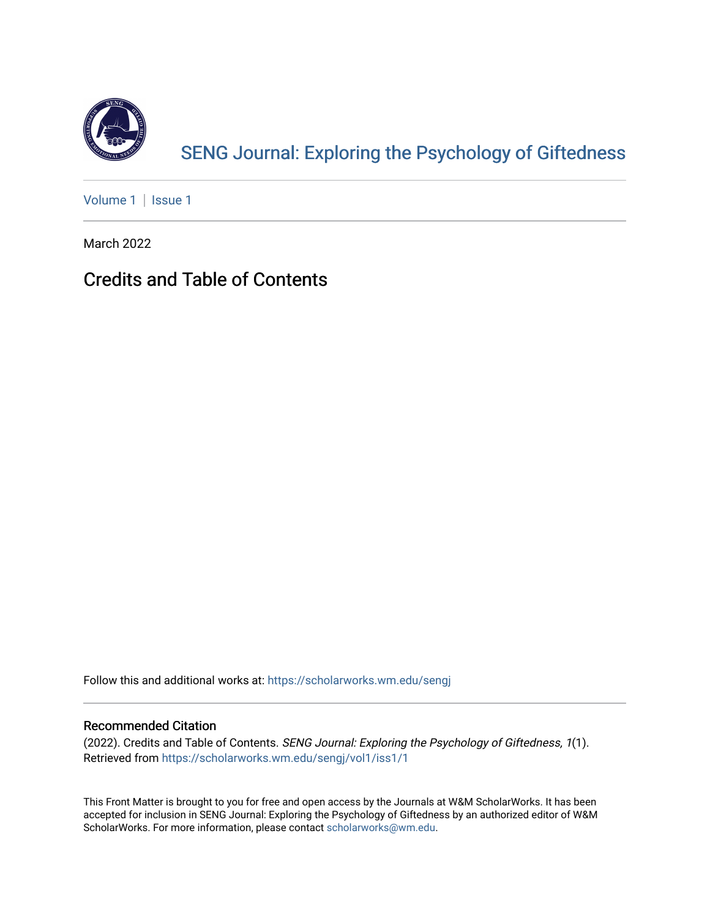

[SENG Journal: Exploring the Psychology of Giftedness](https://scholarworks.wm.edu/sengj) 

[Volume 1](https://scholarworks.wm.edu/sengj/vol1) | Issue 1

March 2022

## Credits and Table of Contents

Follow this and additional works at: [https://scholarworks.wm.edu/sengj](https://scholarworks.wm.edu/sengj?utm_source=scholarworks.wm.edu%2Fsengj%2Fvol1%2Fiss1%2F1&utm_medium=PDF&utm_campaign=PDFCoverPages)

#### Recommended Citation

(2022). Credits and Table of Contents. SENG Journal: Exploring the Psychology of Giftedness, 1(1). Retrieved from [https://scholarworks.wm.edu/sengj/vol1/iss1/1](https://scholarworks.wm.edu/sengj/vol1/iss1/1?utm_source=scholarworks.wm.edu%2Fsengj%2Fvol1%2Fiss1%2F1&utm_medium=PDF&utm_campaign=PDFCoverPages) 

This Front Matter is brought to you for free and open access by the Journals at W&M ScholarWorks. It has been accepted for inclusion in SENG Journal: Exploring the Psychology of Giftedness by an authorized editor of W&M ScholarWorks. For more information, please contact [scholarworks@wm.edu.](mailto:scholarworks@wm.edu)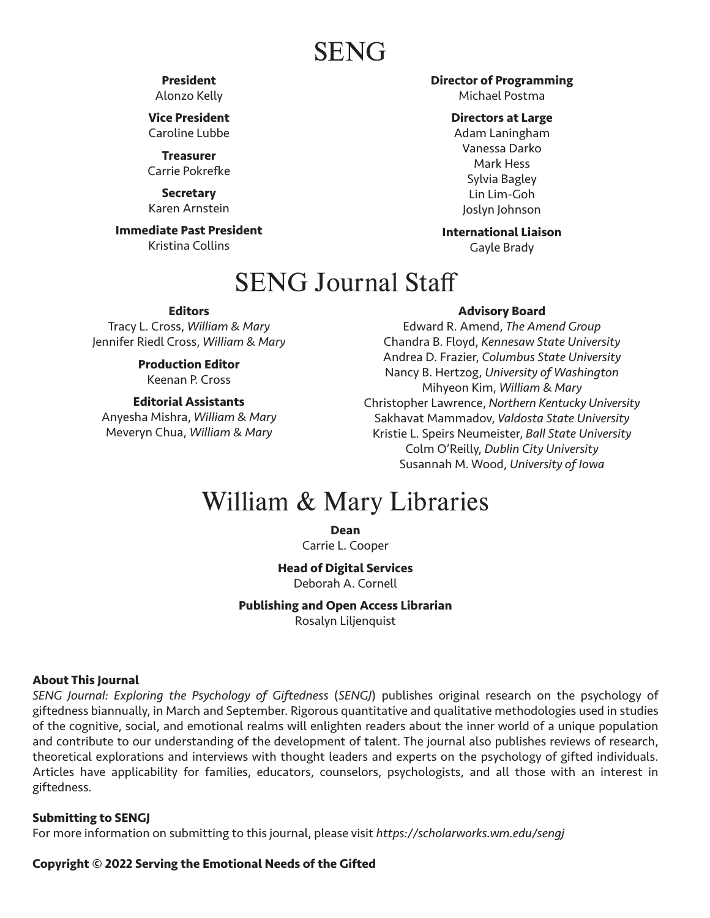# SENG

### **President**

Alonzo Kelly

**Vice President** Caroline Lubbe

**Treasurer** Carrie Pokrefke

**Secretary** Karen Arnstein

**Immediate Past President** Kristina Collins

### **Director of Programming**

Michael Postma

#### **Directors at Large**

Adam Laningham Vanessa Darko Mark Hess Sylvia Bagley Lin Lim-Goh Joslyn Johnson

### **International Liaison**

Gayle Brady

# SENG Journal Staff

#### **Editors**

Tracy L. Cross, *William & Mary* Jennifer Riedl Cross, *William & Mary*

> **Production Editor** Keenan P. Cross

#### **Editorial Assistants**

Anyesha Mishra, *William & Mary* Meveryn Chua, *William & Mary*

#### **Advisory Board**

Edward R. Amend, *The Amend Group* Chandra B. Floyd, *Kennesaw State University* Andrea D. Frazier, *Columbus State University* Nancy B. Hertzog, *University of Washington* Mihyeon Kim, *William & Mary* Christopher Lawrence, *Northern Kentucky University* Sakhavat Mammadov, *Valdosta State University* Kristie L. Speirs Neumeister, *Ball State University* Colm O'Reilly, *Dublin City University* Susannah M. Wood, *University of Iowa*

# William & Mary Libraries

**Dean**

Carrie L. Cooper

**Head of Digital Services**

Deborah A. Cornell

**Publishing and Open Access Librarian** Rosalyn Liljenquist

#### **About This Journal**

*SENG Journal: Exploring the Psychology of Giftedness* (*SENGJ*) publishes original research on the psychology of giftedness biannually, in March and September. Rigorous quantitative and qualitative methodologies used in studies of the cognitive, social, and emotional realms will enlighten readers about the inner world of a unique population and contribute to our understanding of the development of talent. The journal also publishes reviews of research, theoretical explorations and interviews with thought leaders and experts on the psychology of gifted individuals. Articles have applicability for families, educators, counselors, psychologists, and all those with an interest in giftedness.

#### **Submitting to SENGJ**

For more information on submitting to this journal, please visit *https://scholarworks.wm.edu/sengj*

#### **Copyright © 2022 Serving the Emotional Needs of the Gifted**